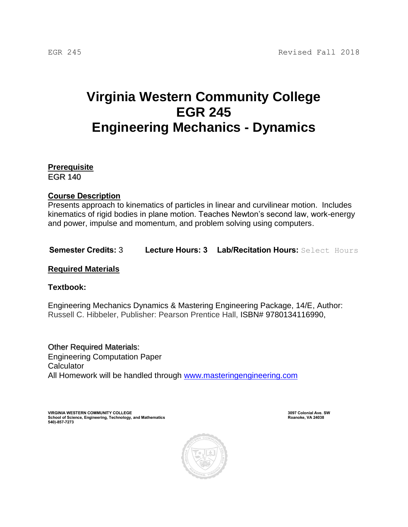# **Virginia Western Community College EGR 245 Engineering Mechanics - Dynamics**

**Prerequisite** EGR 140

# **Course Description**

Presents approach to kinematics of particles in linear and curvilinear motion. Includes kinematics of rigid bodies in plane motion. Teaches Newton's second law, work-energy and power, impulse and momentum, and problem solving using computers.

**Semester Credits:** 3 **Lecture Hours: 3 Lab/Recitation Hours:** Select Hours

**Required Materials**

**Textbook:**

Engineering Mechanics Dynamics & Mastering Engineering Package, 14/E, Author: Russell C. Hibbeler, Publisher: Pearson Prentice Hall, ISBN# 9780134116990,

Other Required Materials: Engineering Computation Paper **Calculator** All Homework will be handled through [www.masteringengineering.com](http://www.masteringengineering.com/)

**VIRGINIA WESTERN COMMUNITY COLLEGE 3097 Colonial Ave. SW School of Science, Engineering, Technology, and Mathematics 540)-857-7273**

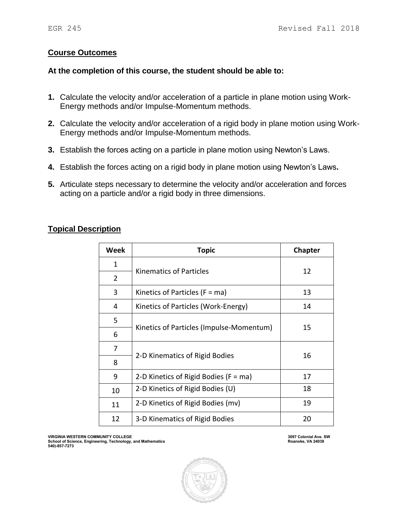## **Course Outcomes**

#### **At the completion of this course, the student should be able to:**

- **1.** Calculate the velocity and/or acceleration of a particle in plane motion using Work-Energy methods and/or Impulse-Momentum methods.
- **2.** Calculate the velocity and/or acceleration of a rigid body in plane motion using Work-Energy methods and/or Impulse-Momentum methods.
- **3.** Establish the forces acting on a particle in plane motion using Newton's Laws.
- **4.** Establish the forces acting on a rigid body in plane motion using Newton's Laws**.**
- **5.** Articulate steps necessary to determine the velocity and/or acceleration and forces acting on a particle and/or a rigid body in three dimensions.

## **Topical Description**

| Week           | Topic                                     | Chapter |
|----------------|-------------------------------------------|---------|
| 1              | <b>Kinematics of Particles</b>            | 12      |
| $\overline{2}$ |                                           |         |
| 3              | Kinetics of Particles ( $F = ma$ )        | 13      |
| 4              | Kinetics of Particles (Work-Energy)       | 14      |
| 5              | Kinetics of Particles (Impulse-Momentum)  | 15      |
| 6              |                                           |         |
| 7              | 2-D Kinematics of Rigid Bodies            | 16      |
| 8              |                                           |         |
| 9              | 2-D Kinetics of Rigid Bodies ( $F = ma$ ) | 17      |
| 10             | 2-D Kinetics of Rigid Bodies (U)          | 18      |
| 11             | 2-D Kinetics of Rigid Bodies (mv)         | 19      |
| 12             | 3-D Kinematics of Rigid Bodies            | 20      |

**VIRGINIA WESTERN COMMUNITY COLLEGE 3097 Colonial Ave. SW School of Science, Engineering, Technology, and Mathematics 540)-857-7273**